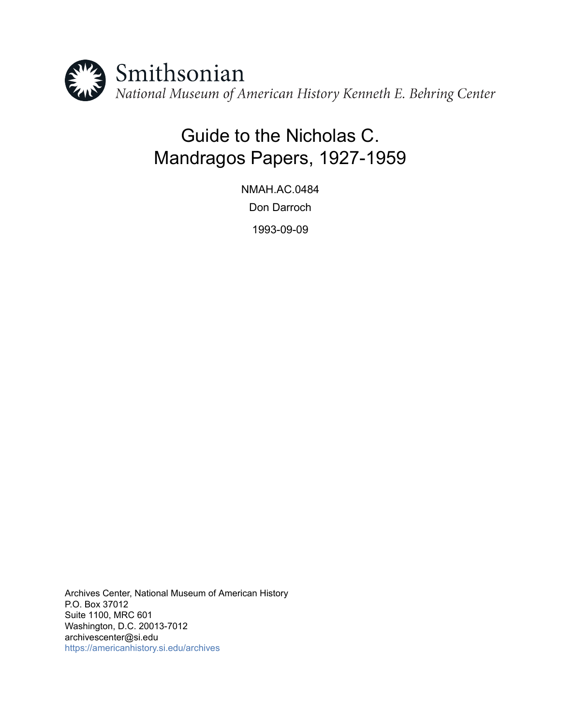

# Guide to the Nicholas C. Mandragos Papers, 1927-1959

NMAH.AC.0484 Don Darroch 1993-09-09

Archives Center, National Museum of American History P.O. Box 37012 Suite 1100, MRC 601 Washington, D.C. 20013-7012 archivescenter@si.edu <https://americanhistory.si.edu/archives>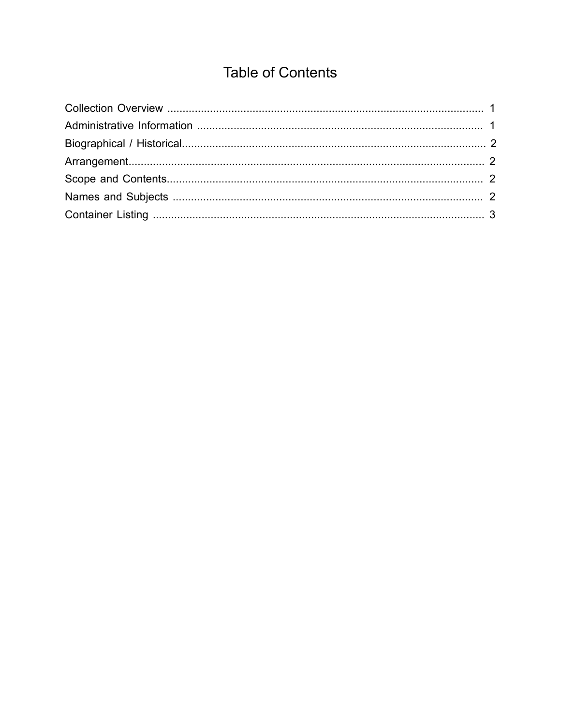## **Table of Contents**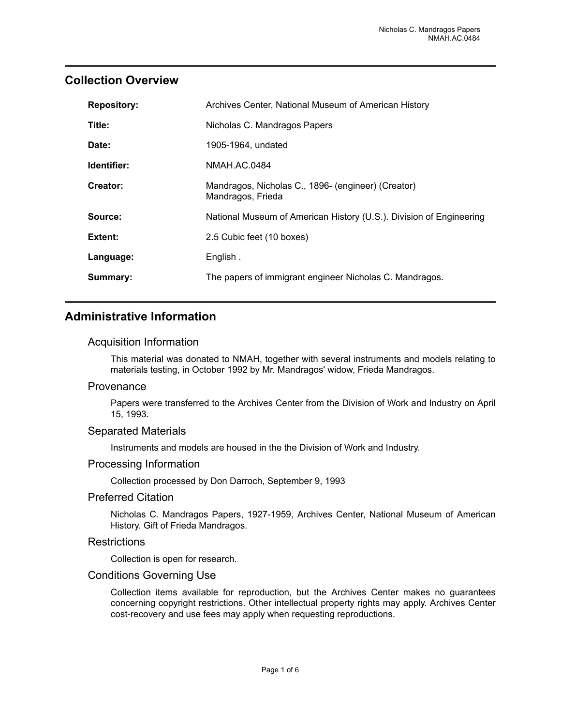## <span id="page-2-0"></span>**Collection Overview**

| <b>Repository:</b> | Archives Center, National Museum of American History                    |
|--------------------|-------------------------------------------------------------------------|
| Title:             | Nicholas C. Mandragos Papers                                            |
| Date:              | 1905-1964, undated                                                      |
| Identifier:        | NMAH.AC.0484                                                            |
| Creator:           | Mandragos, Nicholas C., 1896- (engineer) (Creator)<br>Mandragos, Frieda |
| Source:            | National Museum of American History (U.S.). Division of Engineering     |
| Extent:            | 2.5 Cubic feet (10 boxes)                                               |
| Language:          | English.                                                                |
| Summary:           | The papers of immigrant engineer Nicholas C. Mandragos.                 |

## <span id="page-2-1"></span>**Administrative Information**

#### Acquisition Information

This material was donated to NMAH, together with several instruments and models relating to materials testing, in October 1992 by Mr. Mandragos' widow, Frieda Mandragos.

#### **Provenance**

Papers were transferred to the Archives Center from the Division of Work and Industry on April 15, 1993.

#### Separated Materials

Instruments and models are housed in the the Division of Work and Industry.

#### Processing Information

Collection processed by Don Darroch, September 9, 1993

#### Preferred Citation

Nicholas C. Mandragos Papers, 1927-1959, Archives Center, National Museum of American History. Gift of Frieda Mandragos.

#### **Restrictions**

Collection is open for research.

#### Conditions Governing Use

Collection items available for reproduction, but the Archives Center makes no guarantees concerning copyright restrictions. Other intellectual property rights may apply. Archives Center cost-recovery and use fees may apply when requesting reproductions.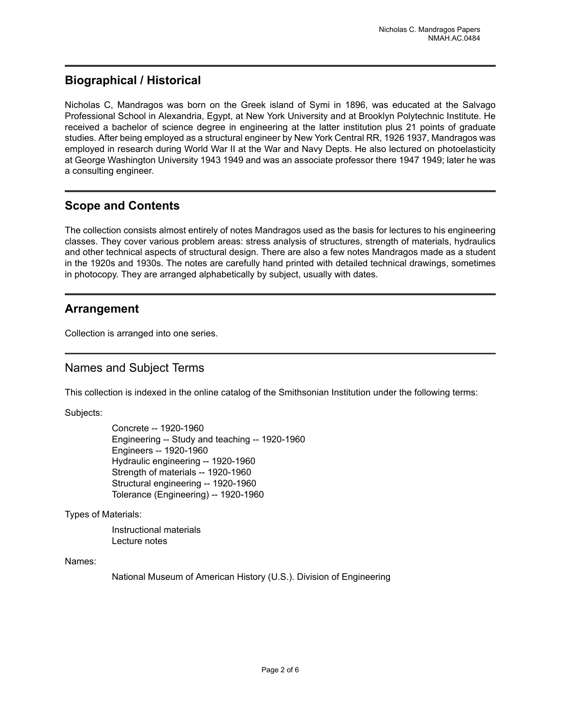## <span id="page-3-0"></span>**Biographical / Historical**

Nicholas C, Mandragos was born on the Greek island of Symi in 1896, was educated at the Salvago Professional School in Alexandria, Egypt, at New York University and at Brooklyn Polytechnic Institute. He received a bachelor of science degree in engineering at the latter institution plus 21 points of graduate studies. After being employed as a structural engineer by New York Central RR, 1926 1937, Mandragos was employed in research during World War II at the War and Navy Depts. He also lectured on photoelasticity at George Washington University 1943 1949 and was an associate professor there 1947 1949; later he was a consulting engineer.

## <span id="page-3-2"></span>**Scope and Contents**

The collection consists almost entirely of notes Mandragos used as the basis for lectures to his engineering classes. They cover various problem areas: stress analysis of structures, strength of materials, hydraulics and other technical aspects of structural design. There are also a few notes Mandragos made as a student in the 1920s and 1930s. The notes are carefully hand printed with detailed technical drawings, sometimes in photocopy. They are arranged alphabetically by subject, usually with dates.

## <span id="page-3-1"></span>**Arrangement**

Collection is arranged into one series.

## <span id="page-3-3"></span>Names and Subject Terms

This collection is indexed in the online catalog of the Smithsonian Institution under the following terms:

Subjects:

Concrete -- 1920-1960 Engineering -- Study and teaching -- 1920-1960 Engineers -- 1920-1960 Hydraulic engineering -- 1920-1960 Strength of materials -- 1920-1960 Structural engineering -- 1920-1960 Tolerance (Engineering) -- 1920-1960

Types of Materials:

Instructional materials Lecture notes

Names:

National Museum of American History (U.S.). Division of Engineering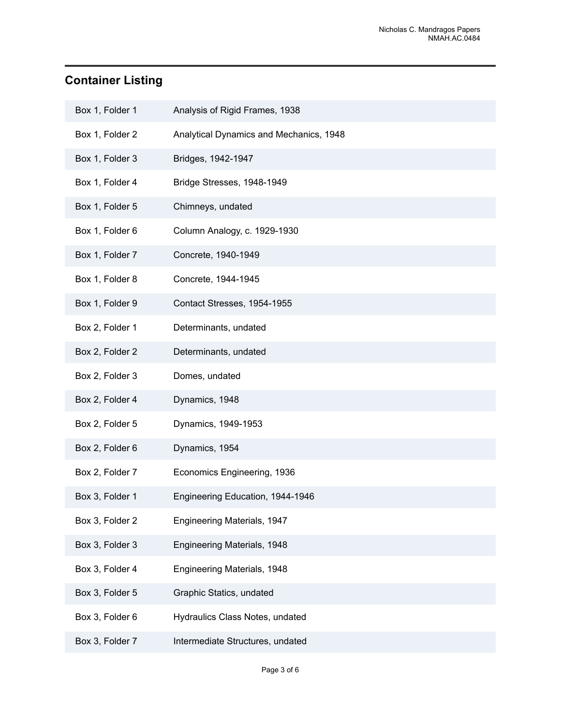## <span id="page-4-0"></span>**Container Listing**

| Box 1, Folder 1 | Analysis of Rigid Frames, 1938          |
|-----------------|-----------------------------------------|
| Box 1, Folder 2 | Analytical Dynamics and Mechanics, 1948 |
| Box 1, Folder 3 | Bridges, 1942-1947                      |
| Box 1, Folder 4 | Bridge Stresses, 1948-1949              |
| Box 1, Folder 5 | Chimneys, undated                       |
| Box 1, Folder 6 | Column Analogy, c. 1929-1930            |
| Box 1, Folder 7 | Concrete, 1940-1949                     |
| Box 1, Folder 8 | Concrete, 1944-1945                     |
| Box 1, Folder 9 | Contact Stresses, 1954-1955             |
| Box 2, Folder 1 | Determinants, undated                   |
| Box 2, Folder 2 | Determinants, undated                   |
| Box 2, Folder 3 | Domes, undated                          |
| Box 2, Folder 4 | Dynamics, 1948                          |
| Box 2, Folder 5 | Dynamics, 1949-1953                     |
| Box 2, Folder 6 | Dynamics, 1954                          |
| Box 2, Folder 7 | Economics Engineering, 1936             |
| Box 3, Folder 1 | Engineering Education, 1944-1946        |
| Box 3, Folder 2 | Engineering Materials, 1947             |
| Box 3, Folder 3 | Engineering Materials, 1948             |
| Box 3, Folder 4 | Engineering Materials, 1948             |
| Box 3, Folder 5 | Graphic Statics, undated                |
| Box 3, Folder 6 | Hydraulics Class Notes, undated         |
| Box 3, Folder 7 | Intermediate Structures, undated        |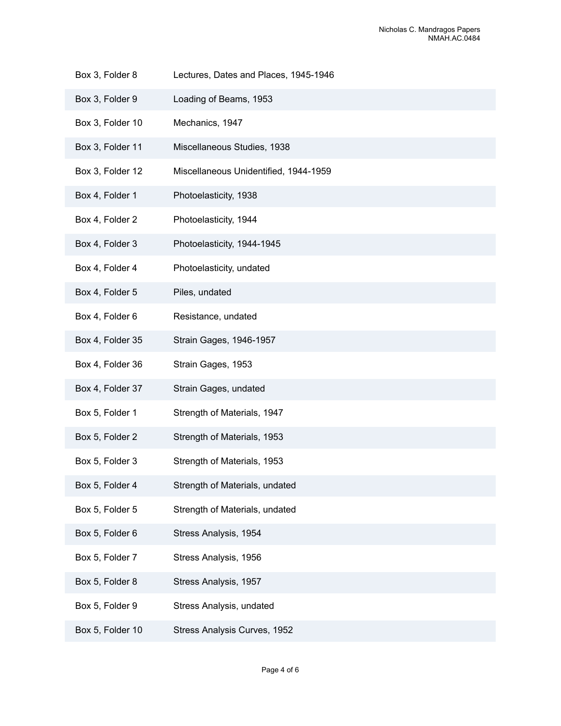- Box 3, Folder 8 Lectures, Dates and Places, 1945-1946
- Box 3, Folder 9 Loading of Beams, 1953
- Box 3, Folder 10 Mechanics, 1947
- Box 3, Folder 11 Miscellaneous Studies, 1938
- Box 3, Folder 12 Miscellaneous Unidentified, 1944-1959
- Box 4, Folder 1 Photoelasticity, 1938
- Box 4, Folder 2 Photoelasticity, 1944
- Box 4, Folder 3 Photoelasticity, 1944-1945
- Box 4, Folder 4 Photoelasticity, undated
- Box 4, Folder 5 Piles, undated
- Box 4, Folder 6 Resistance, undated
- Box 4, Folder 35 Strain Gages, 1946-1957
- Box 4, Folder 36 Strain Gages, 1953
- Box 4, Folder 37 Strain Gages, undated
- Box 5, Folder 1 Strength of Materials, 1947
- Box 5, Folder 2 Strength of Materials, 1953
- Box 5, Folder 3 Strength of Materials, 1953
- Box 5, Folder 4 Strength of Materials, undated
- Box 5, Folder 5 Strength of Materials, undated
- Box 5, Folder 6 Stress Analysis, 1954
- Box 5, Folder 7 Stress Analysis, 1956
- Box 5, Folder 8 Stress Analysis, 1957
- Box 5, Folder 9 Stress Analysis, undated
- Box 5, Folder 10 Stress Analysis Curves, 1952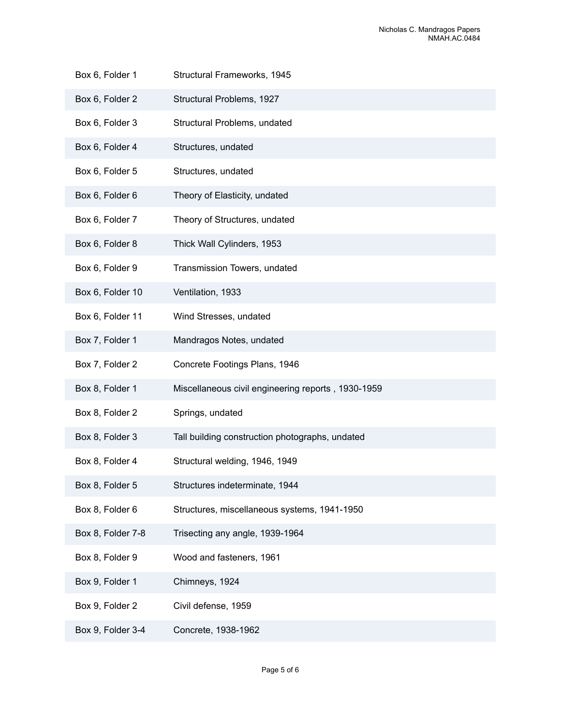- Box 6, Folder 1 Structural Frameworks, 1945
- Box 6, Folder 2 Structural Problems, 1927
- Box 6, Folder 3 Structural Problems, undated
- Box 6, Folder 4 Structures, undated
- Box 6, Folder 5 Structures, undated
- Box 6, Folder 6 Theory of Elasticity, undated
- Box 6, Folder 7 Theory of Structures, undated
- Box 6, Folder 8 Thick Wall Cylinders, 1953
- Box 6, Folder 9 Transmission Towers, undated
- Box 6, Folder 10 Ventilation, 1933
- Box 6, Folder 11 Wind Stresses, undated
- Box 7, Folder 1 Mandragos Notes, undated
- Box 7, Folder 2 Concrete Footings Plans, 1946
- Box 8, Folder 1 Miscellaneous civil engineering reports , 1930-1959
- Box 8, Folder 2 Springs, undated
- Box 8, Folder 3 Tall building construction photographs, undated
- Box 8, Folder 4 Structural welding, 1946, 1949
- Box 8, Folder 5 Structures indeterminate, 1944
- Box 8, Folder 6 Structures, miscellaneous systems, 1941-1950
- Box 8, Folder 7-8 Trisecting any angle, 1939-1964
- Box 8, Folder 9 Wood and fasteners, 1961
- Box 9, Folder 1 Chimneys, 1924
- Box 9, Folder 2 Civil defense, 1959
- Box 9, Folder 3-4 Concrete, 1938-1962